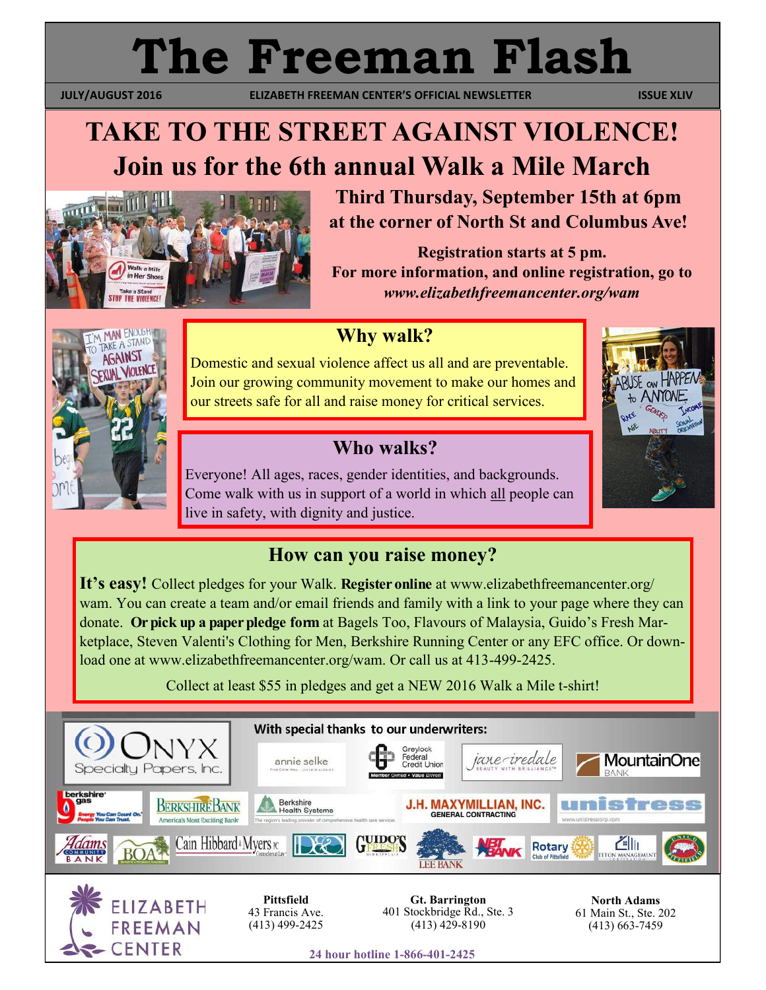# **The Freeman Flash**

 **JULY/AUGUST 2016 ELIZABETH FREEMAN CENTER'S OFFICIAL NEWSLETTER ISSUE XLIV** 

# **TAKE TO THE STREET AGAINST VIOLENCE! Join us for the 6th annual Walk a Mile March**



ENOUGH AKE A STAND AGAINST VIOLENCE

**Third Thursday, September 15th at 6pm at the corner of North St and Columbus Ave!**

**Registration starts at 5 pm. For more information, and online registration, go to**  *www.elizabethfreemancenter.org/wam*

#### **Why walk?**

Domestic and sexual violence affect us all and are preventable. Join our growing community movement to make our homes and our streets safe for all and raise money for critical services.

## **Who walks?**

Everyone! All ages, races, gender identities, and backgrounds. Come walk with us in support of a world in which all people can live in safety, with dignity and justice.

#### **How can you raise money?**

**It's easy!** Collect pledges for your Walk. **Register online** at www.elizabethfreemancenter.org/ wam. You can create a team and/or email friends and family with a link to your page where they can donate. **Or pick up a paper pledge form** at Bagels Too, Flavours of Malaysia, Guido's Fresh Marketplace, Steven Valenti's Clothing for Men, Berkshire Running Center or any EFC office. Or download one at www.elizabethfreemancenter.org/wam. Or call us at 413-499-2425.

Collect at least \$55 in pledges and get a NEW 2016 Walk a Mile t-shirt!